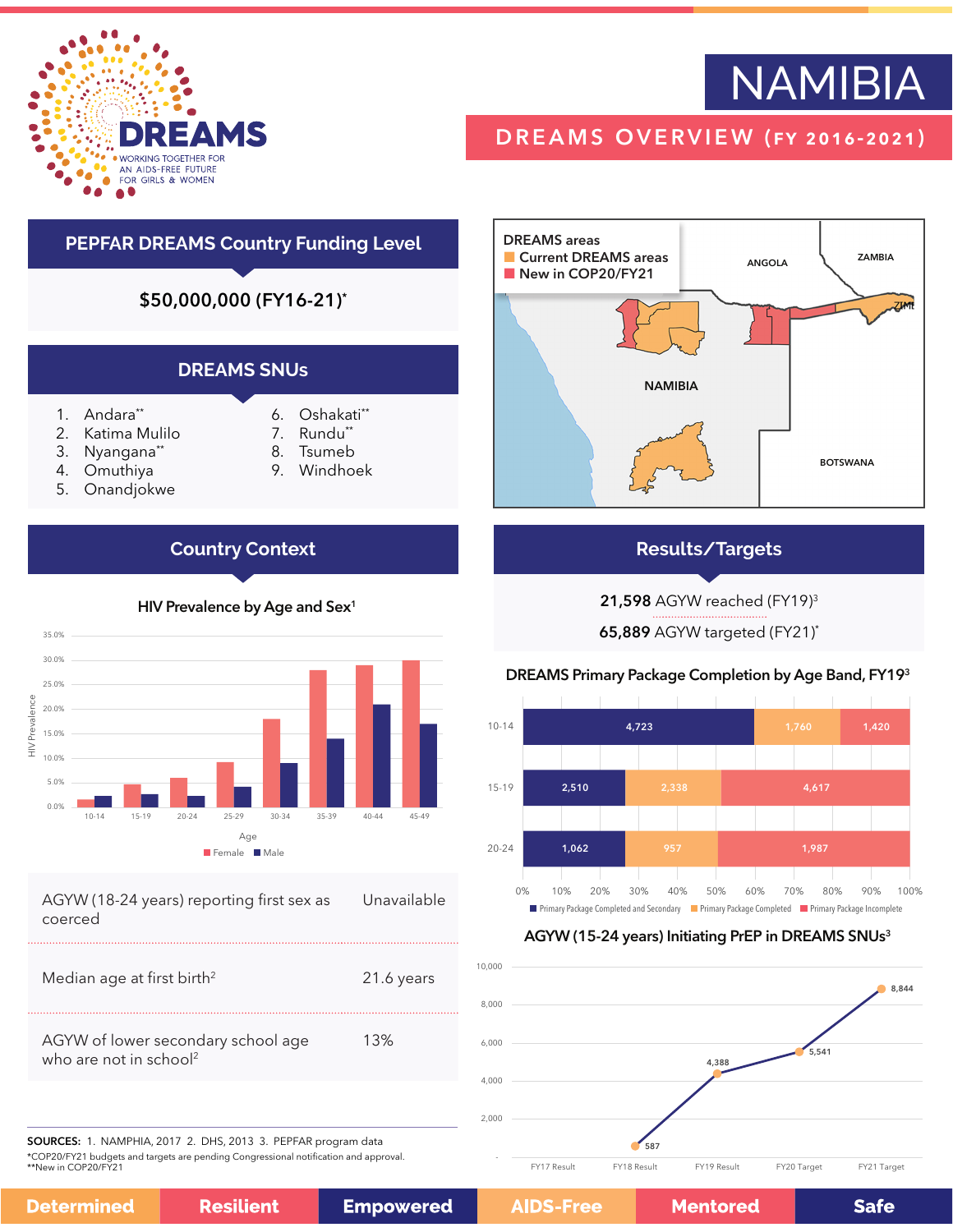

# NAMIBIA

# DREAMS OVERVIEW (fy 2016-2021)



## **Results/Targets**

#### 21,598 AGYW reached (FY19)3

65,889 AGYW targeted (FY21)\*

### DREAMS Primary Package Completion by Age Band, FY193



### AGYW (15-24 years) Initiating PrEP in DREAMS SNUs<sup>3</sup>



## **PEPFAR DREAMS Country Funding Level**

\$50,000,000 (FY16-21)\*

## **DREAMS SNUs**

- 1. Andara\*\*
- 2. Katima Mulilo
- 3. Nyangana\*\*
- 4. Omuthiya
- 5. Onandjokwe
- 6. Oshakati\*\* 7. Rundu\*\*
- 8. Tsumeb
- 9. Windhoek

## **Country Context**



| AGYW (18-24 years) reporting first sex as | Unavailable |
|-------------------------------------------|-------------|
| coerced                                   |             |

| Median age at first birth <sup>2</sup>                                   | 21.6 years |
|--------------------------------------------------------------------------|------------|
| AGYW of lower secondary school age<br>who are not in school <sup>2</sup> | 13%        |

SOURCES: 1. NAMPHIA, 2017 2. DHS, 2013 3. PEPFAR program data \*COP20/FY21 budgets and targets are pending Congressional notification and approval.

\*\*New in COP20/FY21

| <b>Determined</b> | <b>Resilient</b> | <b>Empowered</b> |
|-------------------|------------------|------------------|
|-------------------|------------------|------------------|

**Safe**